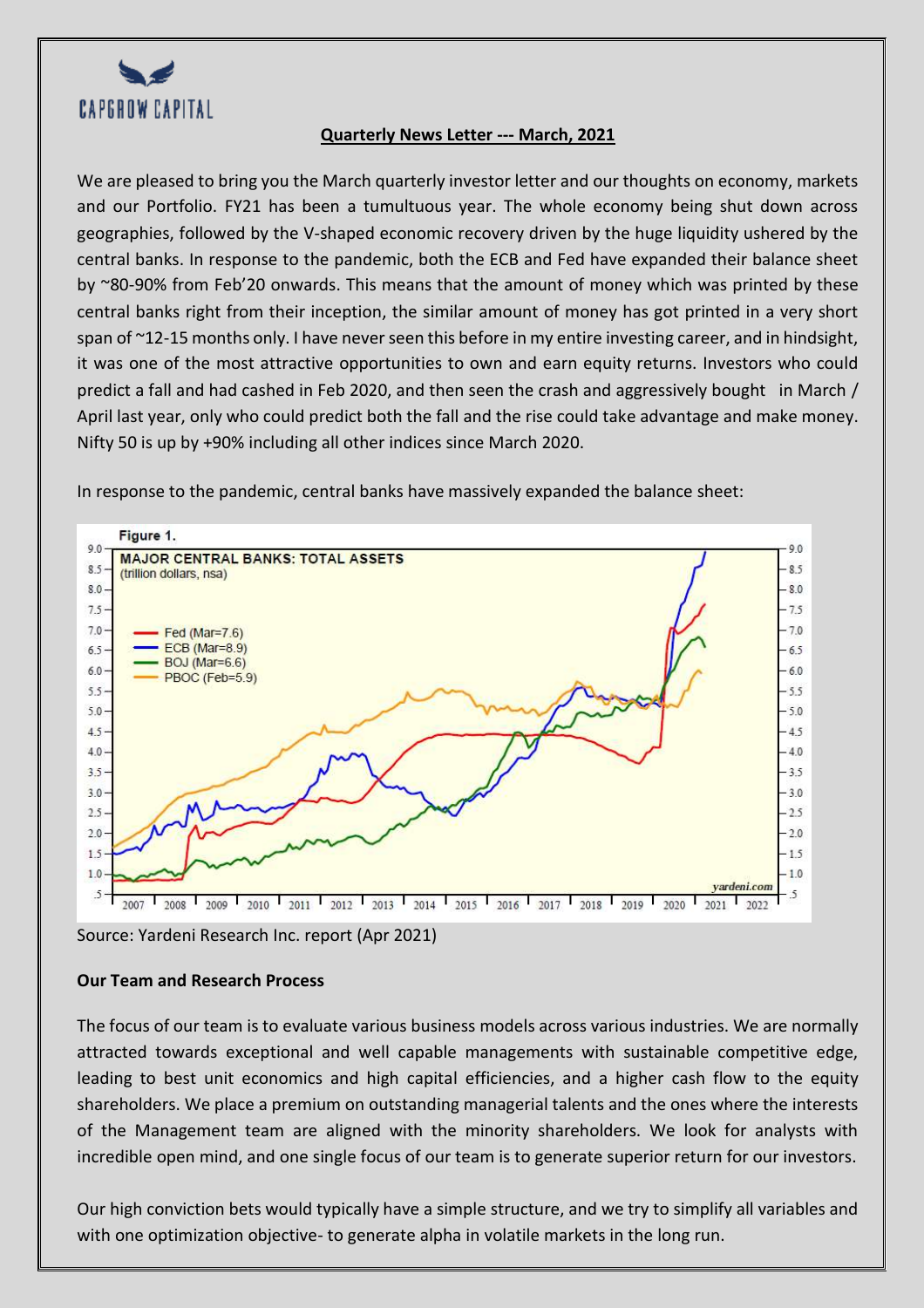

## **Quarterly News Letter --- March, 2021**

We are pleased to bring you the March quarterly investor letter and our thoughts on economy, markets and our Portfolio. FY21 has been a tumultuous year. The whole economy being shut down across geographies, followed by the V-shaped economic recovery driven by the huge liquidity ushered by the central banks. In response to the pandemic, both the ECB and Fed have expanded their balance sheet by ~80-90% from Feb'20 onwards. This means that the amount of money which was printed by these central banks right from their inception, the similar amount of money has got printed in a very short span of ~12-15 months only. I have never seen this before in my entire investing career, and in hindsight, it was one of the most attractive opportunities to own and earn equity returns. Investors who could predict a fall and had cashed in Feb 2020, and then seen the crash and aggressively bought in March / April last year, only who could predict both the fall and the rise could take advantage and make money. Nifty 50 is up by +90% including all other indices since March 2020.

In response to the pandemic, central banks have massively expanded the balance sheet:



Source: Yardeni Research Inc. report (Apr 2021)

## **Our Team and Research Process**

The focus of our team is to evaluate various business models across various industries. We are normally attracted towards exceptional and well capable managements with sustainable competitive edge, leading to best unit economics and high capital efficiencies, and a higher cash flow to the equity shareholders. We place a premium on outstanding managerial talents and the ones where the interests of the Management team are aligned with the minority shareholders. We look for analysts with incredible open mind, and one single focus of our team is to generate superior return for our investors.

Our high conviction bets would typically have a simple structure, and we try to simplify all variables and with one optimization objective- to generate alpha in volatile markets in the long run.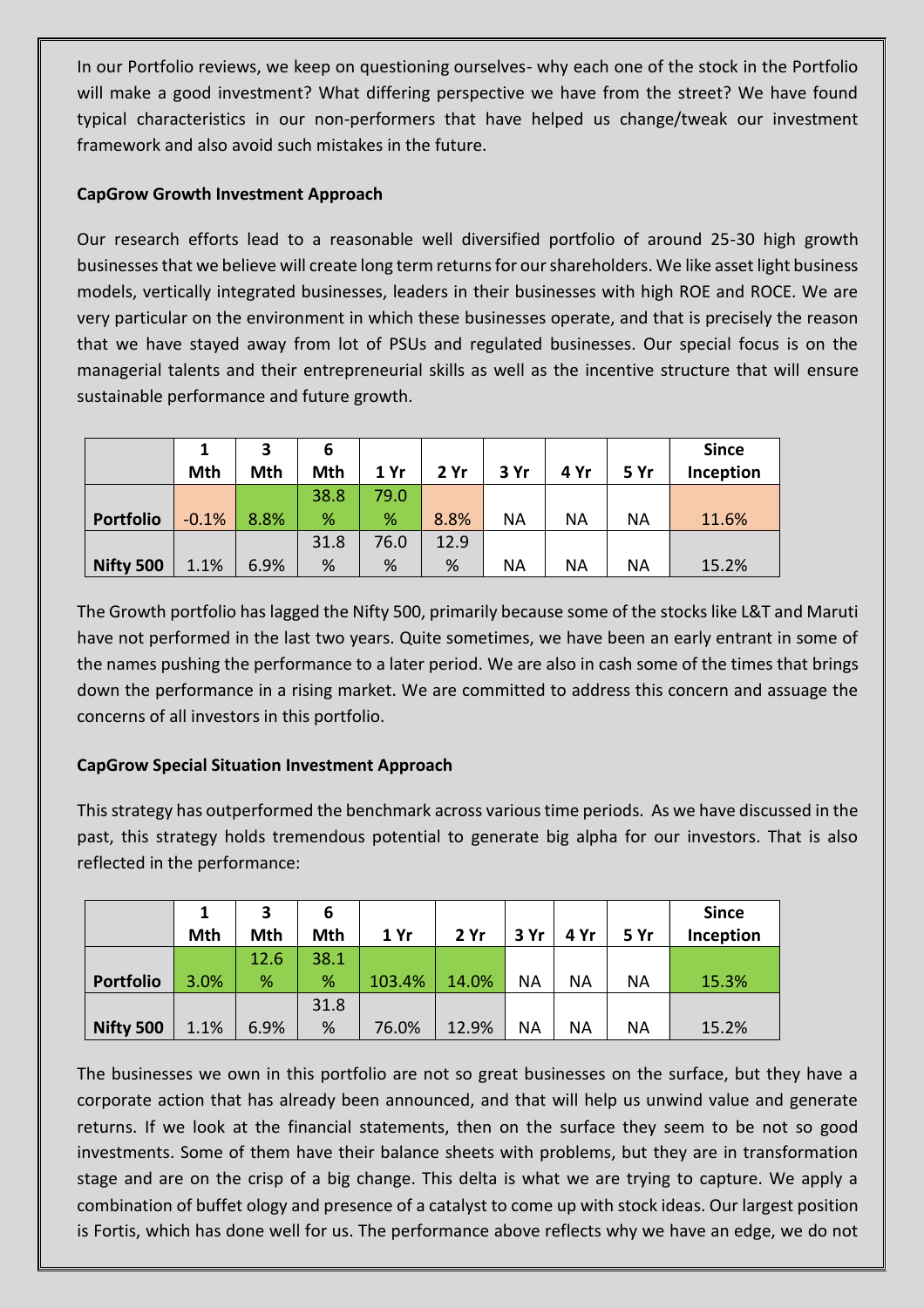In our Portfolio reviews, we keep on questioning ourselves- why each one of the stock in the Portfolio will make a good investment? What differing perspective we have from the street? We have found typical characteristics in our non-performers that have helped us change/tweak our investment framework and also avoid such mistakes in the future.

# **CapGrow Growth Investment Approach**

Our research efforts lead to a reasonable well diversified portfolio of around 25-30 high growth businesses that we believe will create long term returns for our shareholders. We like asset light business models, vertically integrated businesses, leaders in their businesses with high ROE and ROCE. We are very particular on the environment in which these businesses operate, and that is precisely the reason that we have stayed away from lot of PSUs and regulated businesses. Our special focus is on the managerial talents and their entrepreneurial skills as well as the incentive structure that will ensure sustainable performance and future growth.

|                  |         | 3    | 6    |      |      |           |           |           | <b>Since</b> |
|------------------|---------|------|------|------|------|-----------|-----------|-----------|--------------|
|                  | Mth     | Mth  | Mth  | 1 Yr | 2 Yr | 3 Yr      | 4 Yr      | 5 Yr      | Inception    |
|                  |         |      | 38.8 | 79.0 |      |           |           |           |              |
| <b>Portfolio</b> | $-0.1%$ | 8.8% | %    | %    | 8.8% | <b>NA</b> | <b>NA</b> | ΝA        | 11.6%        |
|                  |         |      | 31.8 | 76.0 | 12.9 |           |           |           |              |
| Nifty 500        | 1.1%    | 6.9% | %    | %    | %    | <b>NA</b> | <b>NA</b> | <b>NA</b> | 15.2%        |

The Growth portfolio has lagged the Nifty 500, primarily because some of the stocks like L&T and Maruti have not performed in the last two years. Quite sometimes, we have been an early entrant in some of the names pushing the performance to a later period. We are also in cash some of the times that brings down the performance in a rising market. We are committed to address this concern and assuage the concerns of all investors in this portfolio.

# **CapGrow Special Situation Investment Approach**

This strategy has outperformed the benchmark across various time periods. As we have discussed in the past, this strategy holds tremendous potential to generate big alpha for our investors. That is also reflected in the performance:

|                  |      | 3    | 6    |        |       |           |           |           | <b>Since</b> |
|------------------|------|------|------|--------|-------|-----------|-----------|-----------|--------------|
|                  | Mth  | Mth  | Mth  | 1 Yr   | 2 Yr  | 3 Yr      | 4 Yr      | 5 Yr      | Inception    |
|                  |      | 12.6 | 38.1 |        |       |           |           |           |              |
| <b>Portfolio</b> | 3.0% | %    | %    | 103.4% | 14.0% | <b>NA</b> | <b>NA</b> | <b>NA</b> | 15.3%        |
|                  |      |      | 31.8 |        |       |           |           |           |              |
| Nifty 500        | 1.1% | 6.9% | %    | 76.0%  | 12.9% | <b>NA</b> | <b>NA</b> | <b>NA</b> | 15.2%        |

The businesses we own in this portfolio are not so great businesses on the surface, but they have a corporate action that has already been announced, and that will help us unwind value and generate returns. If we look at the financial statements, then on the surface they seem to be not so good investments. Some of them have their balance sheets with problems, but they are in transformation stage and are on the crisp of a big change. This delta is what we are trying to capture. We apply a combination of buffet ology and presence of a catalyst to come up with stock ideas. Our largest position is Fortis, which has done well for us. The performance above reflects why we have an edge, we do not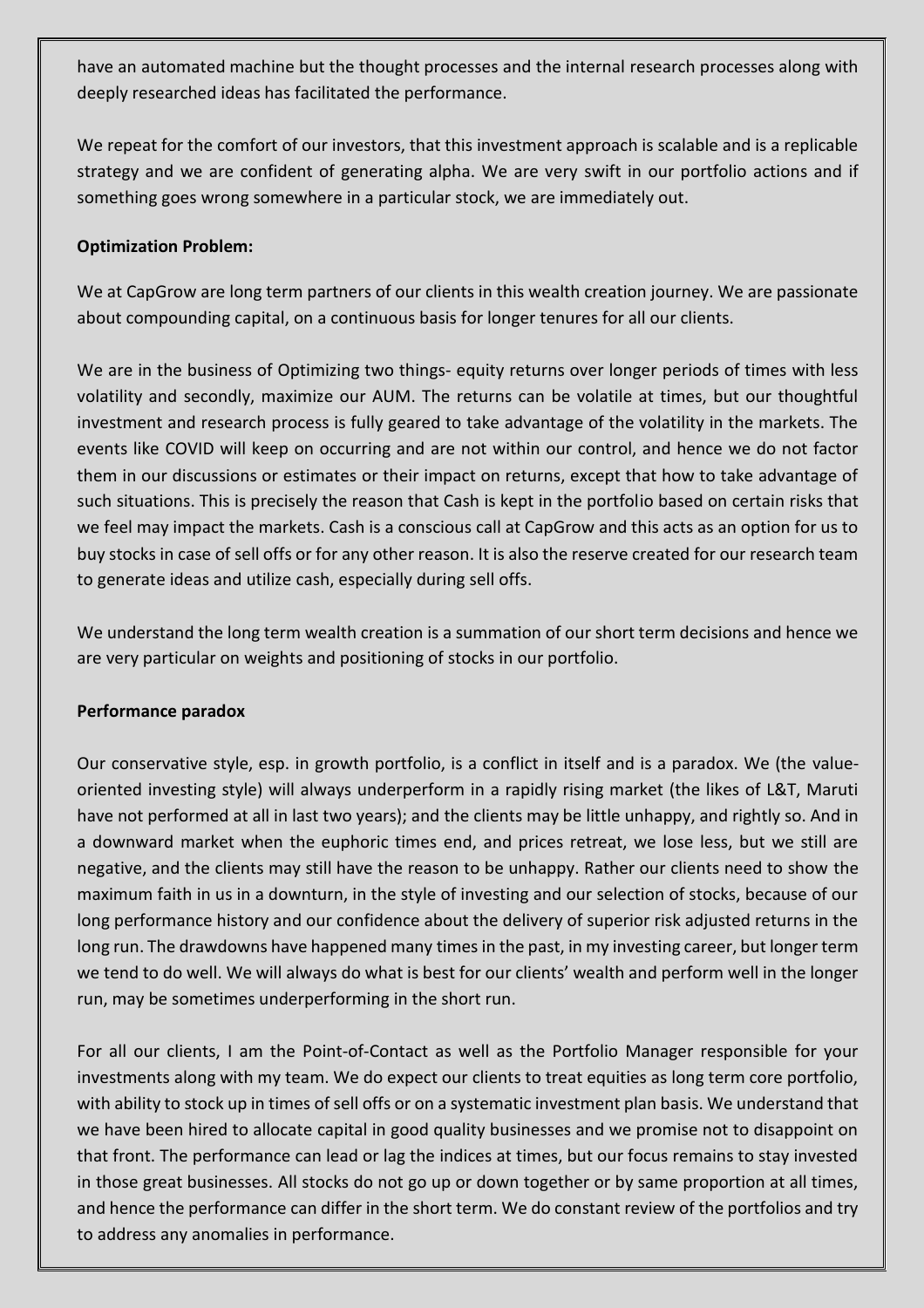have an automated machine but the thought processes and the internal research processes along with deeply researched ideas has facilitated the performance.

We repeat for the comfort of our investors, that this investment approach is scalable and is a replicable strategy and we are confident of generating alpha. We are very swift in our portfolio actions and if something goes wrong somewhere in a particular stock, we are immediately out.

## **Optimization Problem:**

We at CapGrow are long term partners of our clients in this wealth creation journey. We are passionate about compounding capital, on a continuous basis for longer tenures for all our clients.

We are in the business of Optimizing two things- equity returns over longer periods of times with less volatility and secondly, maximize our AUM. The returns can be volatile at times, but our thoughtful investment and research process is fully geared to take advantage of the volatility in the markets. The events like COVID will keep on occurring and are not within our control, and hence we do not factor them in our discussions or estimates or their impact on returns, except that how to take advantage of such situations. This is precisely the reason that Cash is kept in the portfolio based on certain risks that we feel may impact the markets. Cash is a conscious call at CapGrow and this acts as an option for us to buy stocks in case of sell offs or for any other reason. It is also the reserve created for our research team to generate ideas and utilize cash, especially during sell offs.

We understand the long term wealth creation is a summation of our short term decisions and hence we are very particular on weights and positioning of stocks in our portfolio.

## **Performance paradox**

Our conservative style, esp. in growth portfolio, is a conflict in itself and is a paradox. We (the valueoriented investing style) will always underperform in a rapidly rising market (the likes of L&T, Maruti have not performed at all in last two years); and the clients may be little unhappy, and rightly so. And in a downward market when the euphoric times end, and prices retreat, we lose less, but we still are negative, and the clients may still have the reason to be unhappy. Rather our clients need to show the maximum faith in us in a downturn, in the style of investing and our selection of stocks, because of our long performance history and our confidence about the delivery of superior risk adjusted returns in the long run. The drawdowns have happened many times in the past, in my investing career, but longer term we tend to do well. We will always do what is best for our clients' wealth and perform well in the longer run, may be sometimes underperforming in the short run.

For all our clients, I am the Point-of-Contact as well as the Portfolio Manager responsible for your investments along with my team. We do expect our clients to treat equities as long term core portfolio, with ability to stock up in times of sell offs or on a systematic investment plan basis. We understand that we have been hired to allocate capital in good quality businesses and we promise not to disappoint on that front. The performance can lead or lag the indices at times, but our focus remains to stay invested in those great businesses. All stocks do not go up or down together or by same proportion at all times, and hence the performance can differ in the short term. We do constant review of the portfolios and try to address any anomalies in performance.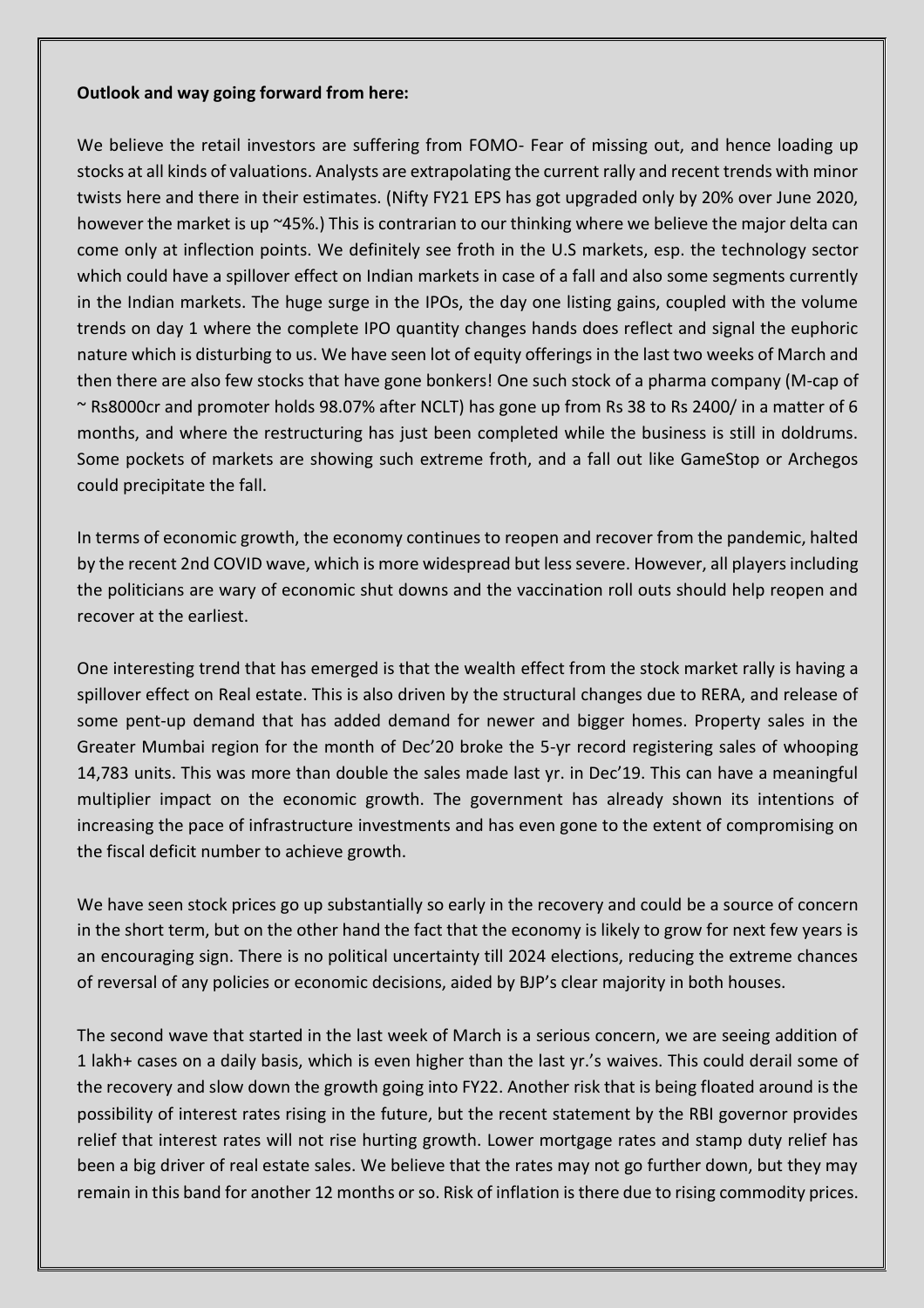### **Outlook and way going forward from here:**

We believe the retail investors are suffering from FOMO- Fear of missing out, and hence loading up stocks at all kinds of valuations. Analysts are extrapolating the current rally and recent trends with minor twists here and there in their estimates. (Nifty FY21 EPS has got upgraded only by 20% over June 2020, however the market is up ~45%.) This is contrarian to our thinking where we believe the major delta can come only at inflection points. We definitely see froth in the U.S markets, esp. the technology sector which could have a spillover effect on Indian markets in case of a fall and also some segments currently in the Indian markets. The huge surge in the IPOs, the day one listing gains, coupled with the volume trends on day 1 where the complete IPO quantity changes hands does reflect and signal the euphoric nature which is disturbing to us. We have seen lot of equity offerings in the last two weeks of March and then there are also few stocks that have gone bonkers! One such stock of a pharma company (M-cap of ~ Rs8000cr and promoter holds 98.07% after NCLT) has gone up from Rs 38 to Rs 2400/ in a matter of 6 months, and where the restructuring has just been completed while the business is still in doldrums. Some pockets of markets are showing such extreme froth, and a fall out like GameStop or Archegos could precipitate the fall.

In terms of economic growth, the economy continues to reopen and recover from the pandemic, halted by the recent 2nd COVID wave, which is more widespread but less severe. However, all players including the politicians are wary of economic shut downs and the vaccination roll outs should help reopen and recover at the earliest.

One interesting trend that has emerged is that the wealth effect from the stock market rally is having a spillover effect on Real estate. This is also driven by the structural changes due to RERA, and release of some pent-up demand that has added demand for newer and bigger homes. Property sales in the Greater Mumbai region for the month of Dec'20 broke the 5-yr record registering sales of whooping 14,783 units. This was more than double the sales made last yr. in Dec'19. This can have a meaningful multiplier impact on the economic growth. The government has already shown its intentions of increasing the pace of infrastructure investments and has even gone to the extent of compromising on the fiscal deficit number to achieve growth.

We have seen stock prices go up substantially so early in the recovery and could be a source of concern in the short term, but on the other hand the fact that the economy is likely to grow for next few years is an encouraging sign. There is no political uncertainty till 2024 elections, reducing the extreme chances of reversal of any policies or economic decisions, aided by BJP's clear majority in both houses.

The second wave that started in the last week of March is a serious concern, we are seeing addition of 1 lakh+ cases on a daily basis, which is even higher than the last yr.'s waives. This could derail some of the recovery and slow down the growth going into FY22. Another risk that is being floated around is the possibility of interest rates rising in the future, but the recent statement by the RBI governor provides relief that interest rates will not rise hurting growth. Lower mortgage rates and stamp duty relief has been a big driver of real estate sales. We believe that the rates may not go further down, but they may remain in this band for another 12 months or so. Risk of inflation is there due to rising commodity prices.